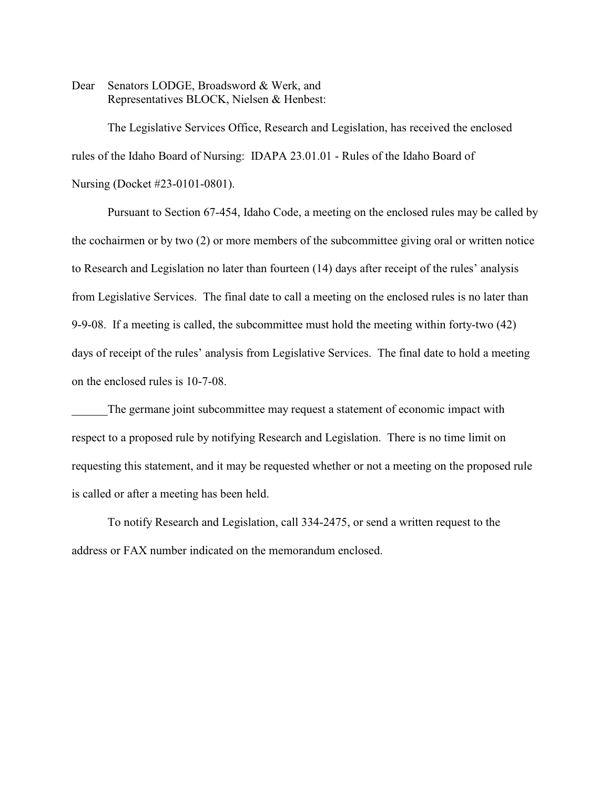Dear Senators LODGE, Broadsword & Werk, and Representatives BLOCK, Nielsen & Henbest:

The Legislative Services Office, Research and Legislation, has received the enclosed rules of the Idaho Board of Nursing: IDAPA 23.01.01 - Rules of the Idaho Board of Nursing (Docket #23-0101-0801).

Pursuant to Section 67-454, Idaho Code, a meeting on the enclosed rules may be called by the cochairmen or by two (2) or more members of the subcommittee giving oral or written notice to Research and Legislation no later than fourteen (14) days after receipt of the rules' analysis from Legislative Services. The final date to call a meeting on the enclosed rules is no later than 9-9-08. If a meeting is called, the subcommittee must hold the meeting within forty-two (42) days of receipt of the rules' analysis from Legislative Services. The final date to hold a meeting on the enclosed rules is 10-7-08.

The germane joint subcommittee may request a statement of economic impact with respect to a proposed rule by notifying Research and Legislation. There is no time limit on requesting this statement, and it may be requested whether or not a meeting on the proposed rule is called or after a meeting has been held.

To notify Research and Legislation, call 334-2475, or send a written request to the address or FAX number indicated on the memorandum enclosed.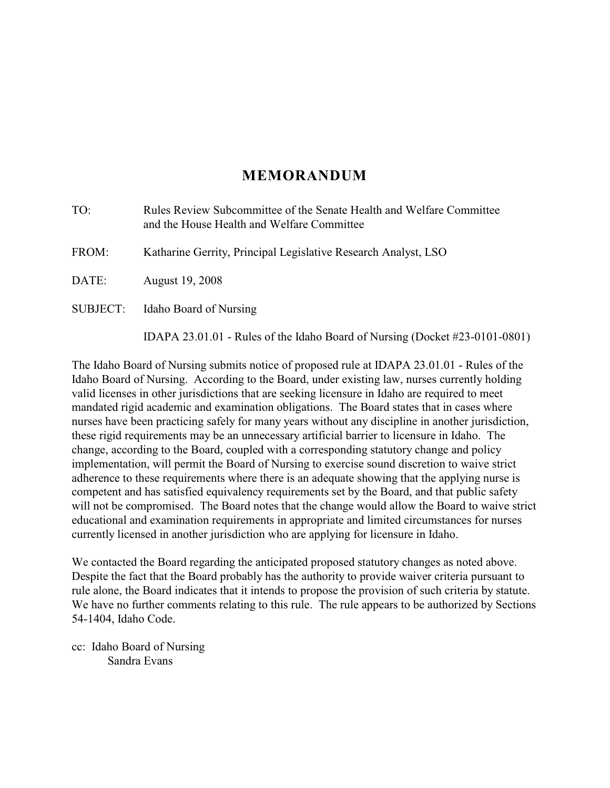# **MEMORANDUM**

| TO:      | Rules Review Subcommittee of the Senate Health and Welfare Committee<br>and the House Health and Welfare Committee |
|----------|--------------------------------------------------------------------------------------------------------------------|
| FROM:    | Katharine Gerrity, Principal Legislative Research Analyst, LSO                                                     |
| DATE:    | August 19, 2008                                                                                                    |
| SUBJECT: | Idaho Board of Nursing                                                                                             |
|          | IDAPA 23.01.01 - Rules of the Idaho Board of Nursing (Docket #23-0101-0801)                                        |

The Idaho Board of Nursing submits notice of proposed rule at IDAPA 23.01.01 - Rules of the Idaho Board of Nursing. According to the Board, under existing law, nurses currently holding valid licenses in other jurisdictions that are seeking licensure in Idaho are required to meet mandated rigid academic and examination obligations. The Board states that in cases where nurses have been practicing safely for many years without any discipline in another jurisdiction, these rigid requirements may be an unnecessary artificial barrier to licensure in Idaho. The change, according to the Board, coupled with a corresponding statutory change and policy implementation, will permit the Board of Nursing to exercise sound discretion to waive strict adherence to these requirements where there is an adequate showing that the applying nurse is competent and has satisfied equivalency requirements set by the Board, and that public safety will not be compromised. The Board notes that the change would allow the Board to waive strict educational and examination requirements in appropriate and limited circumstances for nurses currently licensed in another jurisdiction who are applying for licensure in Idaho.

We contacted the Board regarding the anticipated proposed statutory changes as noted above. Despite the fact that the Board probably has the authority to provide waiver criteria pursuant to rule alone, the Board indicates that it intends to propose the provision of such criteria by statute. We have no further comments relating to this rule. The rule appears to be authorized by Sections 54-1404, Idaho Code.

cc: Idaho Board of Nursing Sandra Evans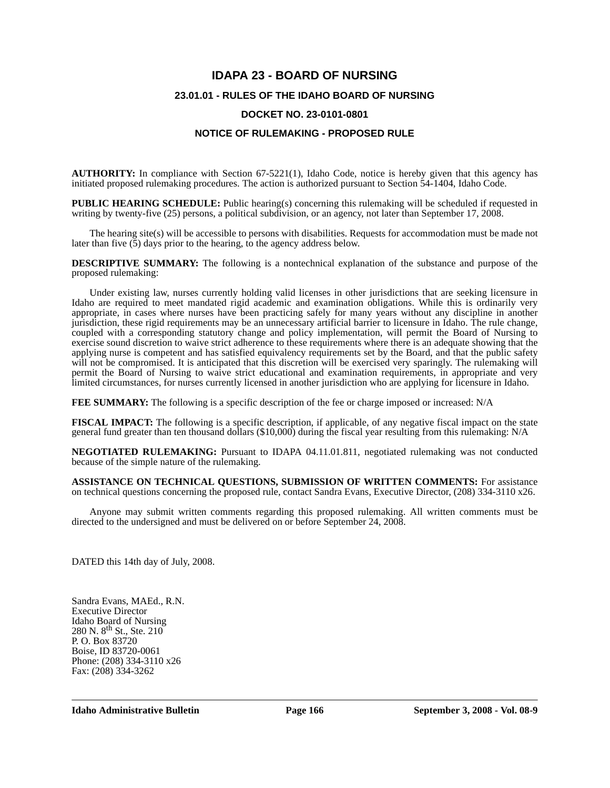# **IDAPA 23 - BOARD OF NURSING 23.01.01 - RULES OF THE IDAHO BOARD OF NURSING DOCKET NO. 23-0101-0801**

## **NOTICE OF RULEMAKING - PROPOSED RULE**

**AUTHORITY:** In compliance with Section 67-5221(1), Idaho Code, notice is hereby given that this agency has initiated proposed rulemaking procedures. The action is authorized pursuant to Section 54-1404, Idaho Code.

**PUBLIC HEARING SCHEDULE:** Public hearing(s) concerning this rulemaking will be scheduled if requested in writing by twenty-five (25) persons, a political subdivision, or an agency, not later than September 17, 2008.

The hearing site(s) will be accessible to persons with disabilities. Requests for accommodation must be made not later than five  $(5)$  days prior to the hearing, to the agency address below.

**DESCRIPTIVE SUMMARY:** The following is a nontechnical explanation of the substance and purpose of the proposed rulemaking:

Under existing law, nurses currently holding valid licenses in other jurisdictions that are seeking licensure in Idaho are required to meet mandated rigid academic and examination obligations. While this is ordinarily very appropriate, in cases where nurses have been practicing safely for many years without any discipline in another jurisdiction, these rigid requirements may be an unnecessary artificial barrier to licensure in Idaho. The rule change, coupled with a corresponding statutory change and policy implementation, will permit the Board of Nursing to exercise sound discretion to waive strict adherence to these requirements where there is an adequate showing that the applying nurse is competent and has satisfied equivalency requirements set by the Board, and that the public safety will not be compromised. It is anticipated that this discretion will be exercised very sparingly. The rulemaking will permit the Board of Nursing to waive strict educational and examination requirements, in appropriate and very limited circumstances, for nurses currently licensed in another jurisdiction who are applying for licensure in Idaho.

**FEE SUMMARY:** The following is a specific description of the fee or charge imposed or increased: N/A

**FISCAL IMPACT:** The following is a specific description, if applicable, of any negative fiscal impact on the state general fund greater than ten thousand dollars (\$10,000) during the fiscal year resulting from this rulemaking: N/A

**NEGOTIATED RULEMAKING:** Pursuant to IDAPA 04.11.01.811, negotiated rulemaking was not conducted because of the simple nature of the rulemaking.

**ASSISTANCE ON TECHNICAL QUESTIONS, SUBMISSION OF WRITTEN COMMENTS:** For assistance on technical questions concerning the proposed rule, contact Sandra Evans, Executive Director, (208) 334-3110 x26.

Anyone may submit written comments regarding this proposed rulemaking. All written comments must be directed to the undersigned and must be delivered on or before September 24, 2008.

DATED this 14th day of July, 2008.

Sandra Evans, MAEd., R.N. Executive Director Idaho Board of Nursing 280 N.  $8^{th}$  St., Ste. 210 P. O. Box 83720 Boise, ID 83720-0061 Phone: (208) 334-3110 x26 Fax: (208) 334-3262